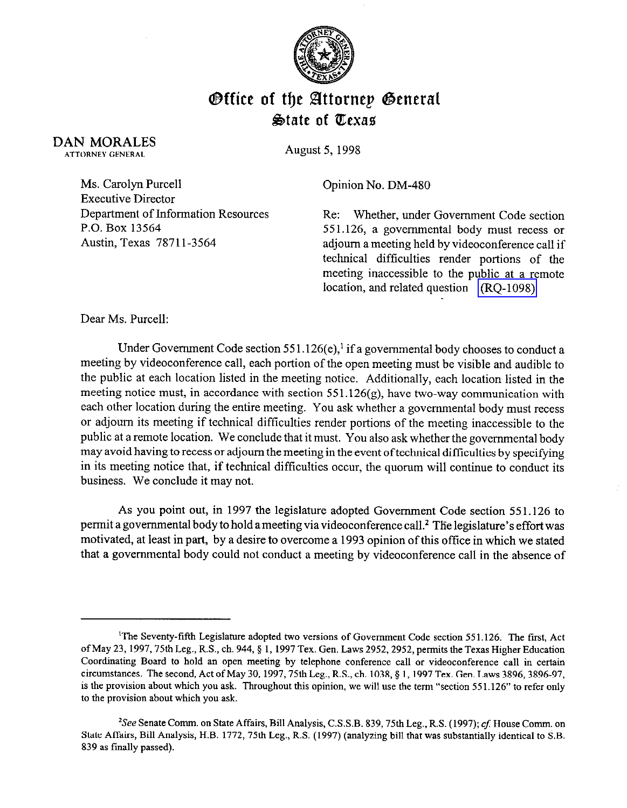

## **Office of the Attornep General**  $\&$ tate of Texas

DAN MORALES ATTORNEY GENERAL

August 5, 1998

Ms. Carolyn Purcell Executive Director Department of Information Resources P.O. Box 13564 Austin, Texas 7871 l-3564

Opinion No. DM-480

Re: Whether, under Government Code section 551.126, a governmental body must recess or adjourn a meeting held by videoconference call if technical difficulties render portions of the meeting inaccessible to the public at a remote location, and related question [\(RQ-1098\)](http://intranet1.oag.state.tx.us/opinions/requests/rq1098.pdf) 

Dear Ms. Purcell:

Under Government Code section 551.126(e),<sup>1</sup> if a governmental body chooses to conduct a meeting by videoconference call, each portion of the open meeting must be visible and audible to the public at each location listed in the meeting notice. Additionally, each location listed in the meeting notice must, in accordance with section  $551.126(g)$ , have two-way communication with each other location during the entire meeting. You ask whether a governmental body must recess or adjourn its meeting if technical difficulties render portions of the meeting inaccessible to the public at a remote location. We conclude that it must. You also ask whether the governmental body may avoid having to recess or adjourn the meeting in the event oftechnical difficulties by specifying in its meeting notice that, if technical difficulties occur, the quorum will continue to conduct its business. We conclude it may not.

As you point out, in 1997 the legislature adopted Government Code section 551.126 to permit a governmental body to hold a meeting via videoconference call.<sup>2</sup> The legislature's effort was motivated, at least in part, by a desire to overcome a 1993 opinion of this office in which we stated that a governmental body could not conduct a meeting by videoconference call in the absence of

<sup>&#</sup>x27;The Seventy-fifth Legislature adopted two versions of Government Code section 551.126. The first, Act of May 23, 1997, 75th Leg., R.S., ch. 944, § 1, 1997 Tex. Gen. Laws 2952, 2952, permits the Texas Higher Education Coordinating Board to hold an open meeting by telephone conference call or videoconference call in certain circumstances. The second, Act of May 30, 1997, 75th Leg., R.S., ch. 1038, § 1, 1997 Tex. Gen. Laws 3896, 3896-97, is the provision about which you ask. Throughout this opinion, we will use the term "section 551.126" to refer only to the provision about which you ask.

<sup>&</sup>lt;sup>2</sup>See Senate Comm. on State Affairs, Bill Analysis, C.S.S.B. 839, 75th Leg., R.S. (1997); cf. House Comm. on State Affairs, Bill Analysis, H.B. 1772, 75th Leg., R.S. (1997) (analyzing bill that was substantially identical to S.B. 839 as finally passed).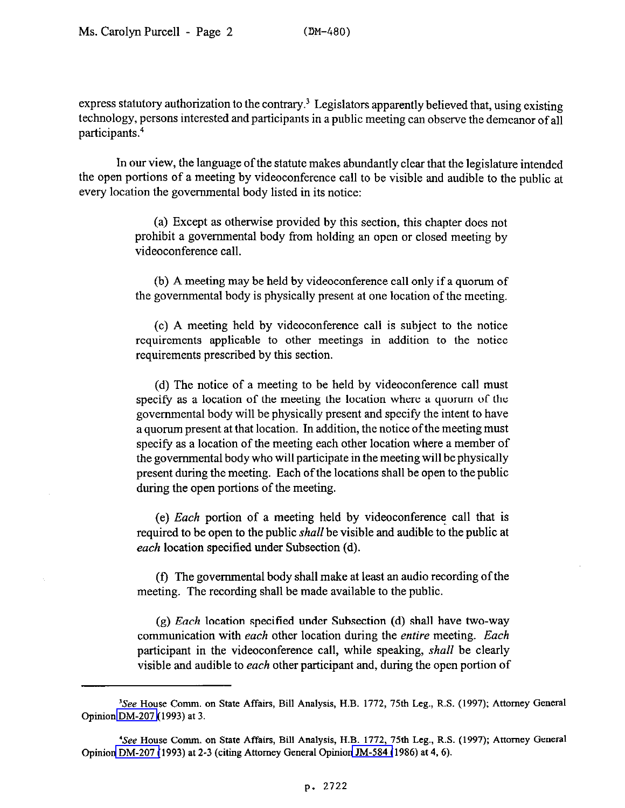express statutory authorization to the contrary.<sup>3</sup> Legislators apparently believed that, using existing technology, persons interested and participants in a public meeting can observe the demeanor of all participants.4

In our view, the language of the statute makes abundantly clear that the legislature intended the open portions of a meeting by videoconference call to be visible and audible to the public at every location the governmental body listed in its notice:

> (a) Except as otherwise provided by this section, this chapter does not prohibit a governmental body from holding an open or closed meeting by videoconference call.

> (b) A meeting may be held by videoconference call only if a quorum of the governmental body is physically present at one location of the meeting.

> (c) A meeting held by videoconference call is subject to the notice requirements applicable to other meetings in addition to the notice requirements prescribed by this section.

> (d) The notice of a meeting to be held by videoconference call must specify as a location of the meeting the location where a quorum of the governmental body will be physically present and specify the intent to have a quorum present at that location. In addition, the notice of the meeting must specify as a location of the meeting each other location where a member of the governmental body who will participate in the meeting will be physically present during the meeting. Each of the locations shall be open to the public during the open portions of the meeting.

> (e) Each portion of a meeting held by videoconference call that is required to be open to the public *shall* be visible and audible to the public at *each* location specified under Subsection (d).

> (f) The governmental body shall make at least an audio recording of the meeting. The recording shall be made available to the public.

> (g) *Each* location specified under Subsection (d) shall have two-way communication with *each* other location during the entire meeting. *Each*  participant in the videoconference call, while speaking, *shall* be clearly visible and audible to *each* other participant and, during the open portion of

<sup>&#</sup>x27;See House Comm. on State Affairs, Bill Analysis, H.B. 1772, 75th Leg., R.S. (1997); Attorney General Opinion [DM-207](http://intranet1.oag.state.tx.us/opinions/dm/dm207.pdf) (1993) at 3.

<sup>&</sup>lt;sup>4</sup>See House Comm. on State Affairs, Bill Analysis, H.B. 1772, 75th Leg., R.S. (1997); Attorney General Opinion [DM-207 \(](http://intranet1.oag.state.tx.us/opinions/dm/dm207.pdf)1993) at 2-3 (citing Attorney General Opinion [JM-584 \(](http://intranet1.oag.state.tx.us/opinions/jm/jm0584.pdf)1986) at 4,6).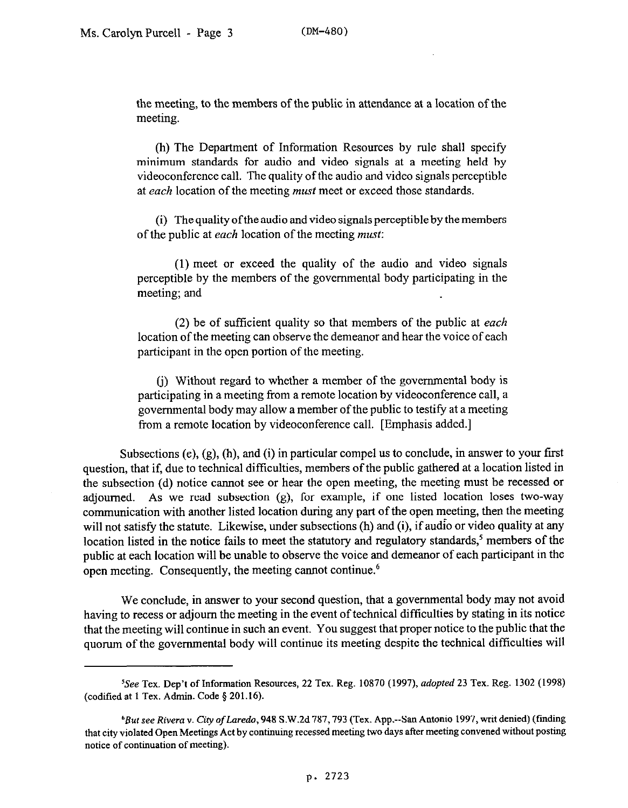the meeting, to the members of the public in attendance at a location of the meeting.

(h) The Department of Information Resources by rule shall specify minimum standards for audio and video signals at a meeting held by videoconference call. The quality of the audio and video signals perceptible at *each* location of the meeting must meet or exceed those standards.

(i) The quality ofthe audio and video signals perceptible by the members of the public at *each* location of the meeting must:

(1) meet or exceed the quality of the audio and video signals perceptible by the members of the governmental body participating in the meeting; and

(2) be of sufficient quality so that members of the public at *each*  location of the meeting can observe the demeanor and hear the voice of each participant in the open portion of the meeting.

(j) Without regard to whether a member of the governmental body is participating in a meeting from a remote location by videoconference call, a governmental body may allow a member of the public to testify at a meeting from a remote location by videoconference call. [Emphasis added.]

Subsections  $(e)$ ,  $(g)$ ,  $(h)$ , and  $(i)$  in particular compel us to conclude, in answer to your first question, that if, due to technical difficulties, members of the public gathered at a location listed in the subsection (d) notice cannot see or hear the open meeting, the meeting must be recessed or adjourned. As we read subsection (g), for example, if one listed location loses two-way communication with another listed location during any part of the open meeting, then the meeting will not satisfy the statute. Likewise, under subsections (h) and (i), if audio or video quality at any location listed in the notice fails to meet the statutory and regulatory standards,<sup>5</sup> members of the public at each location will be unable to observe the voice and demeanor of each participant in the open meeting. Consequently, the meeting cannot continue.<sup>6</sup>

We conclude, in answer to your second question, that a governmental body may not avoid having to recess or adjourn the meeting in the event of technical difficulties by stating in its notice that the meeting will continue in such an event. You suggest that proper notice to the public that the quorum of the governmental body will continue its meeting despite the technical difficulties will

<sup>5</sup>See Tex. Dep't of Information Resources, 22 Tex. Reg. 10870 (1997), *adopted 23* Tex. Reg. 1302 (1998) (codified at 1 Tex. Admin. Code \$201.16).

<sup>&#</sup>x27;But see *Rivera* Y. *City* of Laredo, 948 S.W.2d 787,793 (Tex. App.--San Antonio 1997, wit denied) (tindiig that city violated Open Meetings Act by continuing recessed meeting two days after meeting convened without posting notice of continuation of meeting).